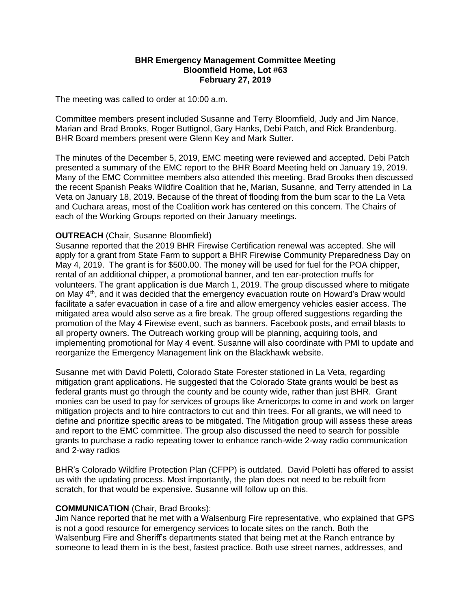## **BHR Emergency Management Committee Meeting Bloomfield Home, Lot #63 February 27, 2019**

The meeting was called to order at 10:00 a.m.

Committee members present included Susanne and Terry Bloomfield, Judy and Jim Nance, Marian and Brad Brooks, Roger Buttignol, Gary Hanks, Debi Patch, and Rick Brandenburg. BHR Board members present were Glenn Key and Mark Sutter.

The minutes of the December 5, 2019, EMC meeting were reviewed and accepted. Debi Patch presented a summary of the EMC report to the BHR Board Meeting held on January 19, 2019. Many of the EMC Committee members also attended this meeting. Brad Brooks then discussed the recent Spanish Peaks Wildfire Coalition that he, Marian, Susanne, and Terry attended in La Veta on January 18, 2019. Because of the threat of flooding from the burn scar to the La Veta and Cuchara areas, most of the Coalition work has centered on this concern. The Chairs of each of the Working Groups reported on their January meetings.

## **OUTREACH** (Chair, Susanne Bloomfield)

Susanne reported that the 2019 BHR Firewise Certification renewal was accepted. She will apply for a grant from State Farm to support a BHR Firewise Community Preparedness Day on May 4, 2019. The grant is for \$500.00. The money will be used for fuel for the POA chipper, rental of an additional chipper, a promotional banner, and ten ear-protection muffs for volunteers. The grant application is due March 1, 2019. The group discussed where to mitigate on May 4<sup>th</sup>, and it was decided that the emergency evacuation route on Howard's Draw would facilitate a safer evacuation in case of a fire and allow emergency vehicles easier access. The mitigated area would also serve as a fire break. The group offered suggestions regarding the promotion of the May 4 Firewise event, such as banners, Facebook posts, and email blasts to all property owners. The Outreach working group will be planning, acquiring tools, and implementing promotional for May 4 event. Susanne will also coordinate with PMI to update and reorganize the Emergency Management link on the Blackhawk website.

Susanne met with David Poletti, Colorado State Forester stationed in La Veta, regarding mitigation grant applications. He suggested that the Colorado State grants would be best as federal grants must go through the county and be county wide, rather than just BHR. Grant monies can be used to pay for services of groups like Americorps to come in and work on larger mitigation projects and to hire contractors to cut and thin trees. For all grants, we will need to define and prioritize specific areas to be mitigated. The Mitigation group will assess these areas and report to the EMC committee. The group also discussed the need to search for possible grants to purchase a radio repeating tower to enhance ranch-wide 2-way radio communication and 2-way radios

BHR's Colorado Wildfire Protection Plan (CFPP) is outdated. David Poletti has offered to assist us with the updating process. Most importantly, the plan does not need to be rebuilt from scratch, for that would be expensive. Susanne will follow up on this.

## **COMMUNICATION** (Chair, Brad Brooks):

Jim Nance reported that he met with a Walsenburg Fire representative, who explained that GPS is not a good resource for emergency services to locate sites on the ranch. Both the Walsenburg Fire and Sheriff's departments stated that being met at the Ranch entrance by someone to lead them in is the best, fastest practice. Both use street names, addresses, and